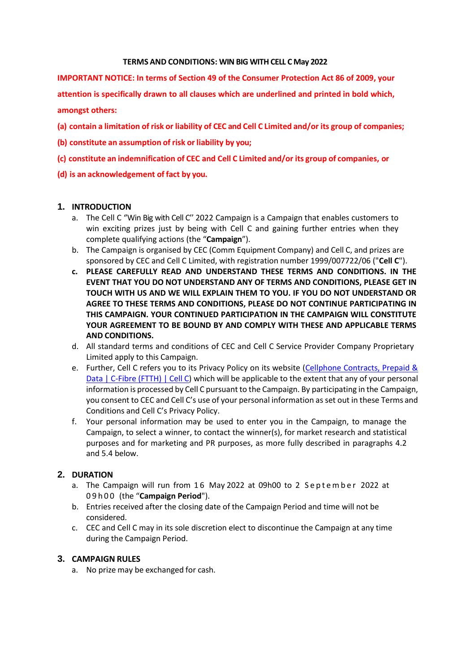#### **TERMS AND CONDITIONS: WIN BIG WITH CELL C May 2022**

**IMPORTANT NOTICE: In terms of Section 49 of the Consumer Protection Act 86 of 2009, your attention is specifically drawn to all clauses which are underlined and printed in bold which, amongst others:**

- **(a) contain a limitation of risk or liability of CEC and Cell C Limited and/or its group of companies;**
- **(b) constitute an assumption of risk or liability by you;**
- **(c) constitute an indemnification of CEC and Cell C Limited and/or its group of companies, or**
- **(d) is an acknowledgement of fact by you.**

#### **1. INTRODUCTION**

- a. The Cell C ''Win Big with Cell C'' 2022 Campaign is a Campaign that enables customers to win exciting prizes just by being with Cell C and gaining further entries when they complete qualifying actions (the "**Campaign**").
- b. The Campaign is organised by CEC (Comm Equipment Company) and Cell C, and prizes are sponsored by CEC and Cell C Limited, with registration number 1999/007722/06 ("**Cell C**").
- **c. PLEASE CAREFULLY READ AND UNDERSTAND THESE TERMS AND CONDITIONS. IN THE EVENT THAT YOU DO NOT UNDERSTAND ANY OF TERMS AND CONDITIONS, PLEASE GET IN TOUCH WITH US AND WE WILL EXPLAIN THEM TO YOU. IF YOU DO NOT UNDERSTAND OR AGREE TO THESE TERMS AND CONDITIONS, PLEASE DO NOT CONTINUE PARTICIPATING IN THIS CAMPAIGN. YOUR CONTINUED PARTICIPATION IN THE CAMPAIGN WILL CONSTITUTE YOUR AGREEMENT TO BE BOUND BY AND COMPLY WITH THESE AND APPLICABLE TERMS AND CONDITIONS.**
- d. All standard terms and conditions of CEC and Cell C Service Provider Company Proprietary Limited apply to this Campaign.
- e. Further, Cell C refers you to its Privacy Policy on its website [\(Cellphone Contracts, Prepaid &](https://www.cellc.co.za/cellc/home) Data | [C-Fibre](https://www.cellc.co.za/cellc/home) (FTTH) | Cell C) which will be applicable to the extent that any of your personal information is processed by Cell C pursuant to the Campaign. By participating in the Campaign, you consent to CEC and Cell C's use of your personal information as set out in these Terms and Conditions and Cell C's Privacy Policy.
- f. Your personal information may be used to enter you in the Campaign, to manage the Campaign, to select a winner, to contact the winner(s), for market research and statistical purposes and for marketing and PR purposes, as more fully described in paragraphs 4.2 and 5.4 below.

## **2. DURATION**

- a. The Campaign will run from 16 May 2022 at 09h00 to 2 September 2022 at 0 9 h 0 0 (the "**Campaign Period**").
- b. Entries received after the closing date of the Campaign Period and time will not be considered.
- c. CEC and Cell C may in its sole discretion elect to discontinue the Campaign at any time during the Campaign Period.

#### **3. CAMPAIGN RULES**

a. No prize may be exchanged for cash.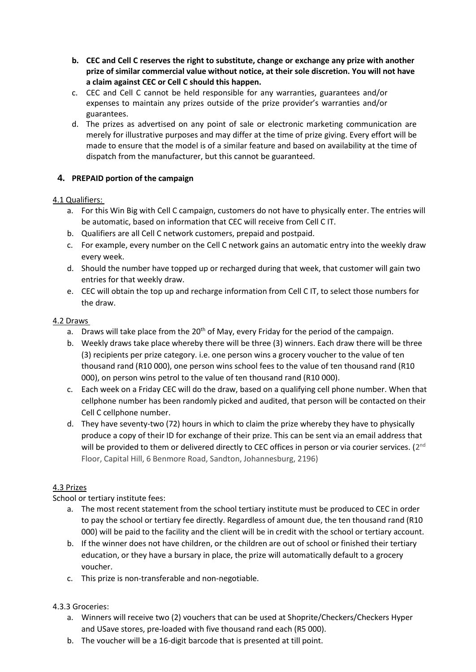- **b. CEC and Cell C reserves the right to substitute, change or exchange any prize with another prize of similar commercial value without notice, at their sole discretion. You will not have a claim against CEC or Cell C should this happen.**
- c. CEC and Cell C cannot be held responsible for any warranties, guarantees and/or expenses to maintain any prizes outside of the prize provider's warranties and/or guarantees.
- d. The prizes as advertised on any point of sale or electronic marketing communication are merely for illustrative purposes and may differ at the time of prize giving. Every effort will be made to ensure that the model is of a similar feature and based on availability at the time of dispatch from the manufacturer, but this cannot be guaranteed.

# **4. PREPAID portion of the campaign**

## 4.1 Qualifiers:

- a. For this Win Big with Cell C campaign, customers do not have to physically enter. The entries will be automatic, based on information that CEC will receive from Cell C IT.
- b. Qualifiers are all Cell C network customers, prepaid and postpaid.
- c. For example, every number on the Cell C network gains an automatic entry into the weekly draw every week.
- d. Should the number have topped up or recharged during that week, that customer will gain two entries for that weekly draw.
- e. CEC will obtain the top up and recharge information from Cell C IT, to select those numbers for the draw.

## 4.2 Draws

- a. Draws will take place from the  $20<sup>th</sup>$  of May, every Friday for the period of the campaign.
- b. Weekly draws take place whereby there will be three (3) winners. Each draw there will be three (3) recipients per prize category. i.e. one person wins a grocery voucher to the value of ten thousand rand (R10 000), one person wins school fees to the value of ten thousand rand (R10 000), on person wins petrol to the value of ten thousand rand (R10 000).
- c. Each week on a Friday CEC will do the draw, based on a qualifying cell phone number. When that cellphone number has been randomly picked and audited, that person will be contacted on their Cell C cellphone number.
- d. They have seventy-two (72) hours in which to claim the prize whereby they have to physically produce a copy of their ID for exchange of their prize. This can be sent via an email address that will be provided to them or delivered directly to CEC offices in person or via courier services. (2<sup>nd</sup> Floor, Capital Hill, 6 Benmore Road, Sandton, Johannesburg, 2196)

# 4.3 Prizes

School or tertiary institute fees:

- a. The most recent statement from the school tertiary institute must be produced to CEC in order to pay the school or tertiary fee directly. Regardless of amount due, the ten thousand rand (R10 000) will be paid to the facility and the client will be in credit with the school or tertiary account.
- b. If the winner does not have children, or the children are out of school or finished their tertiary education, or they have a bursary in place, the prize will automatically default to a grocery voucher.
- c. This prize is non-transferable and non-negotiable.

### 4.3.3 Groceries:

- a. Winners will receive two (2) vouchers that can be used at Shoprite/Checkers/Checkers Hyper and USave stores, pre-loaded with five thousand rand each (R5 000).
- b. The voucher will be a 16-digit barcode that is presented at till point.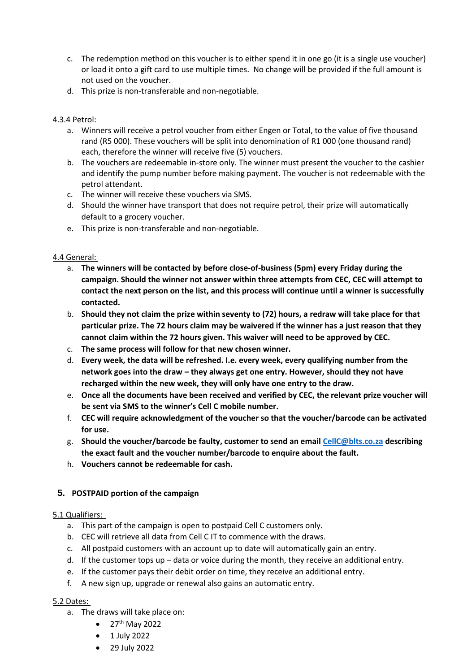- c. The redemption method on this voucher is to either spend it in one go (it is a single use voucher) or load it onto a gift card to use multiple times. No change will be provided if the full amount is not used on the voucher.
- d. This prize is non-transferable and non-negotiable.

## 4.3.4 Petrol:

- a. Winners will receive a petrol voucher from either Engen or Total, to the value of five thousand rand (R5 000). These vouchers will be split into denomination of R1 000 (one thousand rand) each, therefore the winner will receive five (5) vouchers.
- b. The vouchers are redeemable in-store only. The winner must present the voucher to the cashier and identify the pump number before making payment. The voucher is not redeemable with the petrol attendant.
- c. The winner will receive these vouchers via SMS.
- d. Should the winner have transport that does not require petrol, their prize will automatically default to a grocery voucher.
- e. This prize is non-transferable and non-negotiable.

## 4.4 General:

- a. **The winners will be contacted by before close-of-business (5pm) every Friday during the campaign. Should the winner not answer within three attempts from CEC, CEC will attempt to contact the next person on the list, and this process will continue until a winner is successfully contacted.**
- b. **Should they not claim the prize within seventy to (72) hours, a redraw will take place for that particular prize. The 72 hours claim may be waivered if the winner has a just reason that they cannot claim within the 72 hours given. This waiver will need to be approved by CEC.**
- c. **The same process will follow for that new chosen winner.**
- d. **Every week, the data will be refreshed. I.e. every week, every qualifying number from the network goes into the draw – they always get one entry. However, should they not have recharged within the new week, they will only have one entry to the draw.**
- e. **Once all the documents have been received and verified by CEC, the relevant prize voucher will be sent via SMS to the winner's Cell C mobile number.**
- f. **CEC will require acknowledgment of the voucher so that the voucher/barcode can be activated for use.**
- g. **Should the voucher/barcode be faulty, customer to send an emai[l CellC@blts.co.za](mailto:CellC@blts.co.za) describing the exact fault and the voucher number/barcode to enquire about the fault.**
- h. **Vouchers cannot be redeemable for cash.**

# **5. POSTPAID portion of the campaign**

### 5.1 Qualifiers:

- a. This part of the campaign is open to postpaid Cell C customers only.
- b. CEC will retrieve all data from Cell C IT to commence with the draws.
- c. All postpaid customers with an account up to date will automatically gain an entry.
- d. If the customer tops up data or voice during the month, they receive an additional entry.
- e. If the customer pays their debit order on time, they receive an additional entry.
- f. A new sign up, upgrade or renewal also gains an automatic entry.

### 5.2 Dates:

- a. The draws will take place on:
	- $\bullet$  27<sup>th</sup> May 2022
	- 1 July 2022
	- 29 July 2022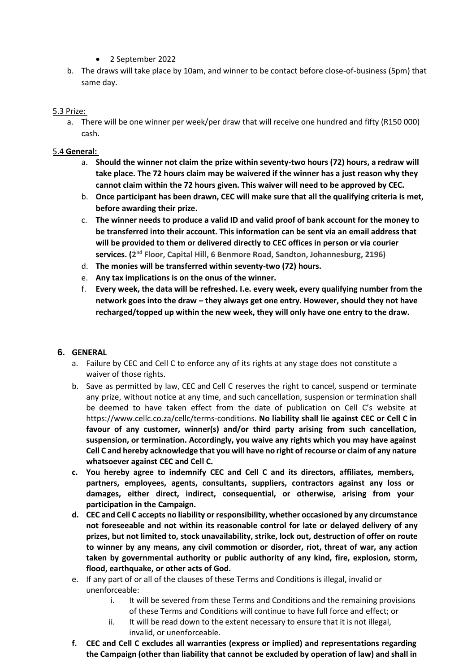- 2 September 2022
- b. The draws will take place by 10am, and winner to be contact before close-of-business (5pm) that same day.

### 5.3 Prize:

a. There will be one winner per week/per draw that will receive one hundred and fifty (R150 000) cash.

#### 5.4 **General:**

- a. **Should the winner not claim the prize within seventy-two hours (72) hours, a redraw will take place. The 72 hours claim may be waivered if the winner has a just reason why they cannot claim within the 72 hours given. This waiver will need to be approved by CEC.**
- b. **Once participant has been drawn, CEC will make sure that all the qualifying criteria is met, before awarding their prize.**
- c. **The winner needs to produce a valid ID and valid proof of bank account for the money to be transferred into their account. This information can be sent via an email address that will be provided to them or delivered directly to CEC offices in person or via courier services. (2 nd Floor, Capital Hill, 6 Benmore Road, Sandton, Johannesburg, 2196)**
- d. **The monies will be transferred within seventy-two (72) hours.**
- e. **Any tax implications is on the onus of the winner.**
- f. **Every week, the data will be refreshed. I.e. every week, every qualifying number from the network goes into the draw – they always get one entry. However, should they not have recharged/topped up within the new week, they will only have one entry to the draw.**

#### **6. GENERAL**

- a. Failure by CEC and Cell C to enforce any of its rights at any stage does not constitute a waiver of those rights.
- b. Save as permitted by law, CEC and Cell C reserves the right to cancel, suspend or terminate any prize, without notice at any time, and such cancellation, suspension or termination shall be deemed to have taken effect from the date of publication on Cell C's website at https:/[/www.cellc.co.za/cellc/terms-conditions.](http://www.cellc.co.za/cellc/terms-conditions) **No liability shall lie against CEC or Cell C in favour of any customer, winner(s) and/or third party arising from such cancellation, suspension, or termination. Accordingly, you waive any rights which you may have against Cell C and hereby acknowledge that you will have no right of recourse or claim of any nature whatsoever against CEC and Cell C.**
- **c. You hereby agree to indemnify CEC and Cell C and its directors, affiliates, members, partners, employees, agents, consultants, suppliers, contractors against any loss or damages, either direct, indirect, consequential, or otherwise, arising from your participation in the Campaign.**
- **d. CEC and Cell C accepts no liability or responsibility, whether occasioned by any circumstance not foreseeable and not within its reasonable control for late or delayed delivery of any prizes, but not limited to, stock unavailability, strike, lock out, destruction of offer on route to winner by any means, any civil commotion or disorder, riot, threat of war, any action taken by governmental authority or public authority of any kind, fire, explosion, storm, flood, earthquake, or other acts of God.**
- e. If any part of or all of the clauses of these Terms and Conditions is illegal, invalid or unenforceable:
	- i. It will be severed from these Terms and Conditions and the remaining provisions of these Terms and Conditions will continue to have full force and effect; or
	- ii. It will be read down to the extent necessary to ensure that it is not illegal, invalid, or unenforceable.
- **f. CEC and Cell C excludes all warranties (express or implied) and representations regarding the Campaign (other than liability that cannot be excluded by operation of law) and shall in**